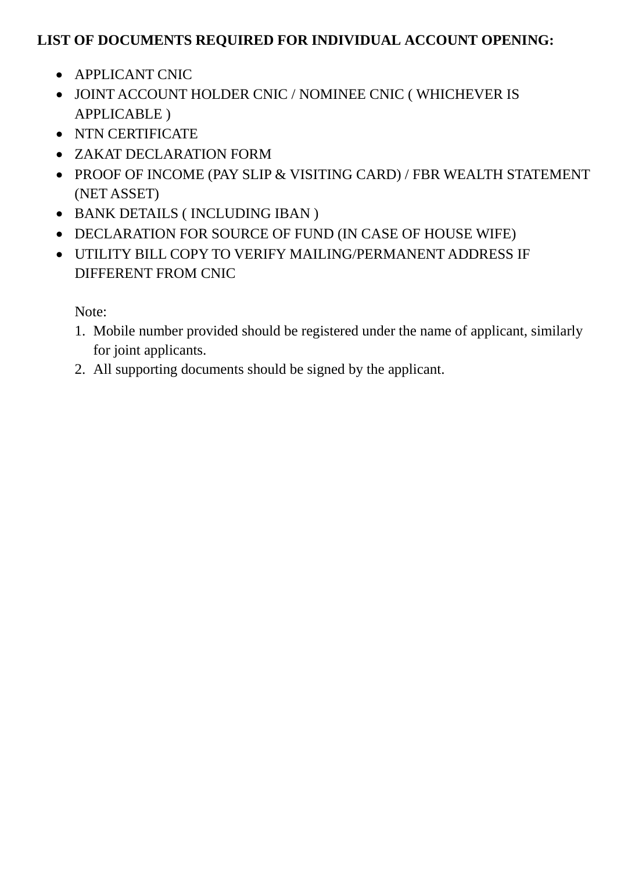# **LIST OF DOCUMENTS REQUIRED FOR INDIVIDUAL ACCOUNT OPENING:**

- APPLICANT CNIC
- JOINT ACCOUNT HOLDER CNIC / NOMINEE CNIC ( WHICHEVER IS APPLICABLE )
- NTN CERTIFICATE
- ZAKAT DECLARATION FORM
- PROOF OF INCOME (PAY SLIP & VISITING CARD) / FBR WEALTH STATEMENT (NET ASSET)
- BANK DETAILS ( INCLUDING IBAN )
- DECLARATION FOR SOURCE OF FUND (IN CASE OF HOUSE WIFE)
- UTILITY BILL COPY TO VERIFY MAILING/PERMANENT ADDRESS IF DIFFERENT FROM CNIC

Note:

- 1. Mobile number provided should be registered under the name of applicant, similarly for joint applicants.
- 2. All supporting documents should be signed by the applicant.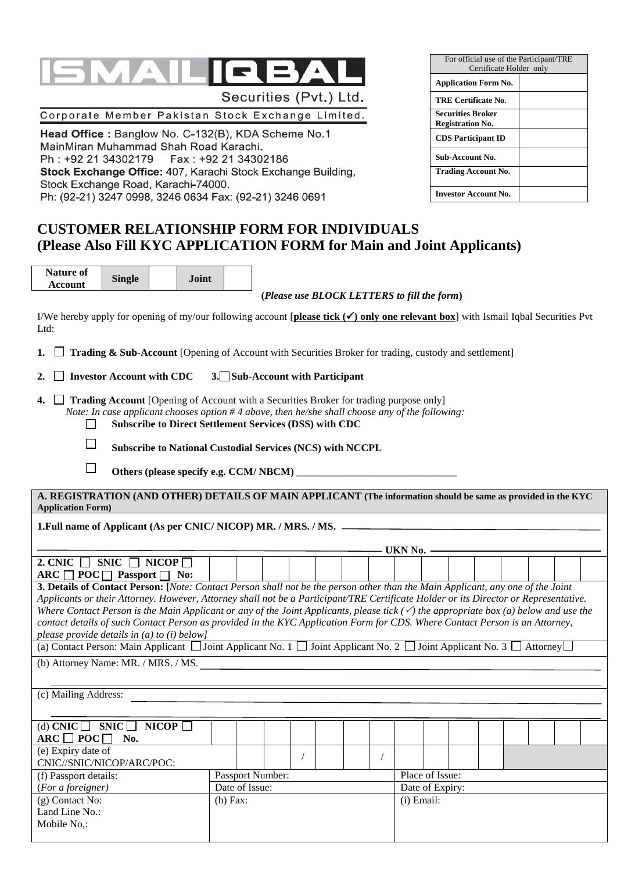

Corporate Member Pakistan Stock Exchange Limited.

Head Office: Banglow No. C-132(B), KDA Scheme No.1 MainMiran Muhammad Shah Road Karachi. Ph: +92 21 34302179 Fax : +92 21 34302186 Stock Exchange Office: 407, Karachi Stock Exchange Building, Stock Exchange Road, Karachi-74000. Ph: (92-21) 3247 0998, 3246 0634 Fax: (92-21) 3246 0691

## For official use of the Participant/TRE Certificate Holder only **Application Form No. TRE Certificate No. Securities Broker Registration No. CDS Participant ID Sub-Account No. Trading Account No. Investor Account No.**

## **CUSTOMER RELATIONSHIP FORM FOR INDIVIDUALS (Please Also Fill KYC APPLICATION FORM for Main and Joint Applicants)**

| Nature of |               | <b>Joint</b> |  |
|-----------|---------------|--------------|--|
| Account   | <b>Single</b> |              |  |

**(***Please use BLOCK LETTERS to fill the form***)**

I/We hereby apply for opening of my/our following account [**please tick**  $(\checkmark)$  **only one relevant box**] with Ismail Iqbal Securities Pvt Ltd:

**1. Trading & Sub-Account** [Opening of Account with Securities Broker for trading, custody and settlement]

**2. Investor Account with CDC 3. Sub-Account with Participant**

**4. Trading Account** [Opening of Account with a Securities Broker for trading purpose only] *Note: In case applicant chooses option # 4 above, then he/she shall choose any of the following:*  $\Box$ 

**Subscribe to Direct Settlement Services (DSS) with CDC**

 $\Box$ **Subscribe to National Custodial Services (NCS) with NCCPL**

 $\overline{\phantom{a}}$ Others (please specify e.g. CCM/ NBCM) \_\_

**A. REGISTRATION (AND OTHER) DETAILS OF MAIN APPLICANT (The information should be same as provided in the KYC Application Form)**

## **1.Full name of Applicant (As per CNIC/ NICOP) MR. / MRS. / MS.**

|                                                                                                                                |  |  |  |  |  | UKN No. |  |  |  |  |
|--------------------------------------------------------------------------------------------------------------------------------|--|--|--|--|--|---------|--|--|--|--|
| <b>NICOP</b><br><b>2. CNIC</b><br><b>SNIC</b>                                                                                  |  |  |  |  |  |         |  |  |  |  |
| $POC\Box$<br>ARC [<br>No:<br>Passport                                                                                          |  |  |  |  |  |         |  |  |  |  |
| 2. Details of Contact Depson: Water Contact Depson shall not be the person other than the Main Applicant, any one of the Joint |  |  |  |  |  |         |  |  |  |  |

**3. Details of Contact Person: [***Note: Contact Person shall not be the person other than the Main Applicant, any one of the Joint Applicants or their Attorney. However, Attorney shall not be a Participant/TRE Certificate Holder or its Director or Representative. Where Contact Person is the Main Applicant or any of the Joint Applicants, please tick*  $(\check{\phantom{a}})$  *the appropriate box*  $(a)$  *below and use the contact details of such Contact Person as provided in the KYC Application Form for CDS. Where Contact Person is an Attorney, please provide details in (a) to (i) below]*

(a) Contact Person: Main Applicant  $\Box$  Joint Applicant No. 1  $\Box$  Joint Applicant No. 2  $\Box$  Joint Applicant No. 3  $\Box$  Attorney $\Box$ 

(b) Attorney Name: MR. / MRS. / MS.

(c) Mailing Address:

| (d) CNIC $\Box$ SNIC $\Box$ NICOP $\Box$ |            |                         |  |  |                 |  |  |  |  |
|------------------------------------------|------------|-------------------------|--|--|-----------------|--|--|--|--|
| $ARC \Box POC \Box No.$                  |            |                         |  |  |                 |  |  |  |  |
| (e) Expiry date of                       |            |                         |  |  |                 |  |  |  |  |
| CNIC//SNIC/NICOP/ARC/POC:                |            |                         |  |  |                 |  |  |  |  |
| (f) Passport details:                    |            | <b>Passport Number:</b> |  |  | Place of Issue: |  |  |  |  |
| (For a foreigner)                        |            | Date of Issue:          |  |  | Date of Expiry: |  |  |  |  |
| $(g)$ Contact No:                        | $(h)$ Fax: |                         |  |  | (i) Email:      |  |  |  |  |
| Land Line No.:                           |            |                         |  |  |                 |  |  |  |  |
| Mobile No.:                              |            |                         |  |  |                 |  |  |  |  |
|                                          |            |                         |  |  |                 |  |  |  |  |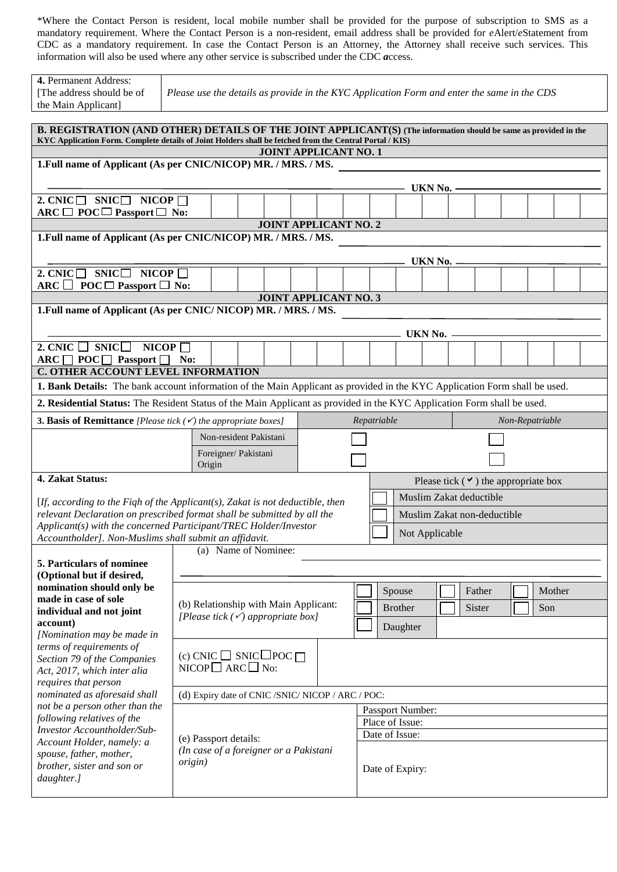\*Where the Contact Person is resident, local mobile number shall be provided for the purpose of subscription to SMS as a mandatory requirement. Where the Contact Person is a non-resident, email address shall be provided for *e*Alert/*e*Statement from CDC as a mandatory requirement. In case the Contact Person is an Attorney, the Attorney shall receive such services. This information will also be used where any other service is subscribed under the CDC *a*ccess.

| 4. Permanent Address:<br>[The address should be of<br>the Main Applicant]                                                                                                                                                   |                 |                                                                       |                              |  |             |                  | Please use the details as provide in the KYC Application Form and enter the same in the CDS |                 |  |
|-----------------------------------------------------------------------------------------------------------------------------------------------------------------------------------------------------------------------------|-----------------|-----------------------------------------------------------------------|------------------------------|--|-------------|------------------|---------------------------------------------------------------------------------------------|-----------------|--|
| B. REGISTRATION (AND OTHER) DETAILS OF THE JOINT APPLICANT(S) (The information should be same as provided in the<br>KYC Application Form. Complete details of Joint Holders shall be fetched from the Central Portal / KIS) |                 |                                                                       |                              |  |             |                  |                                                                                             |                 |  |
|                                                                                                                                                                                                                             |                 |                                                                       | <b>JOINT APPLICANT NO. 1</b> |  |             |                  |                                                                                             |                 |  |
| 1. Full name of Applicant (As per CNIC/NICOP) MR. / MRS. / MS.                                                                                                                                                              |                 |                                                                       |                              |  |             |                  |                                                                                             |                 |  |
|                                                                                                                                                                                                                             |                 |                                                                       |                              |  |             |                  |                                                                                             |                 |  |
|                                                                                                                                                                                                                             |                 |                                                                       |                              |  |             | UKN No.          |                                                                                             |                 |  |
| 2. CNIC $\square$ SNIC $\square$ NICOP $\square$<br>$ARC \Box POC \Box$ Passport $\Box$ No:                                                                                                                                 |                 |                                                                       |                              |  |             |                  |                                                                                             |                 |  |
|                                                                                                                                                                                                                             |                 |                                                                       | <b>JOINT APPLICANT NO. 2</b> |  |             |                  |                                                                                             |                 |  |
| 1. Full name of Applicant (As per CNIC/NICOP) MR. / MRS. / MS.                                                                                                                                                              |                 |                                                                       |                              |  |             |                  |                                                                                             |                 |  |
|                                                                                                                                                                                                                             |                 |                                                                       |                              |  |             | UKN No.          |                                                                                             |                 |  |
| 2. CNIC $\square$ SNIC $\square$<br>NICOP $\Box$                                                                                                                                                                            |                 |                                                                       |                              |  |             |                  |                                                                                             |                 |  |
| ARC $\Box$ POC $\Box$ Passport $\Box$ No:                                                                                                                                                                                   |                 |                                                                       |                              |  |             |                  |                                                                                             |                 |  |
|                                                                                                                                                                                                                             |                 |                                                                       | <b>JOINT APPLICANT NO. 3</b> |  |             |                  |                                                                                             |                 |  |
| 1. Full name of Applicant (As per CNIC/NICOP) MR. / MRS. / MS.                                                                                                                                                              |                 |                                                                       |                              |  |             |                  |                                                                                             |                 |  |
|                                                                                                                                                                                                                             |                 |                                                                       |                              |  |             |                  |                                                                                             |                 |  |
|                                                                                                                                                                                                                             |                 |                                                                       |                              |  |             | UKN No.          |                                                                                             |                 |  |
| 2. CNIC $\Box$ SNIC<br>NICOP $\Box$                                                                                                                                                                                         |                 |                                                                       |                              |  |             |                  |                                                                                             |                 |  |
| $\text{ARC} \quad \text{POC} \quad \text{Passport} \quad \text{No:}$                                                                                                                                                        |                 |                                                                       |                              |  |             |                  |                                                                                             |                 |  |
| C. OTHER ACCOUNT LEVEL INFORMATION                                                                                                                                                                                          |                 |                                                                       |                              |  |             |                  |                                                                                             |                 |  |
| 1. Bank Details: The bank account information of the Main Applicant as provided in the KYC Application Form shall be used.                                                                                                  |                 |                                                                       |                              |  |             |                  |                                                                                             |                 |  |
| 2. Residential Status: The Resident Status of the Main Applicant as provided in the KYC Application Form shall be used.                                                                                                     |                 |                                                                       |                              |  |             |                  |                                                                                             |                 |  |
| <b>3. Basis of Remittance</b> [Please tick $(\checkmark)$ the appropriate boxes]                                                                                                                                            |                 |                                                                       |                              |  | Repatriable |                  |                                                                                             | Non-Repatriable |  |
|                                                                                                                                                                                                                             |                 | Non-resident Pakistani                                                |                              |  |             |                  |                                                                                             |                 |  |
|                                                                                                                                                                                                                             |                 | Foreigner/ Pakistani                                                  |                              |  |             |                  |                                                                                             |                 |  |
|                                                                                                                                                                                                                             | Origin          |                                                                       |                              |  |             |                  |                                                                                             |                 |  |
| 4. Zakat Status:                                                                                                                                                                                                            |                 |                                                                       |                              |  |             |                  | Please tick $($ $\vee$ $)$ the appropriate box                                              |                 |  |
| [If, according to the Fiqh of the Applicant(s), Zakat is not deductible, then                                                                                                                                               |                 |                                                                       |                              |  |             |                  | Muslim Zakat deductible                                                                     |                 |  |
| relevant Declaration on prescribed format shall be submitted by all the                                                                                                                                                     |                 |                                                                       |                              |  |             |                  | Muslim Zakat non-deductible                                                                 |                 |  |
| Applicant(s) with the concerned Participant/TREC Holder/Investor                                                                                                                                                            |                 |                                                                       |                              |  |             |                  |                                                                                             |                 |  |
| Accountholder]. Non-Muslims shall submit an affidavit.                                                                                                                                                                      |                 |                                                                       |                              |  |             | Not Applicable   |                                                                                             |                 |  |
|                                                                                                                                                                                                                             |                 | (a) Name of Nominee:                                                  |                              |  |             |                  |                                                                                             |                 |  |
| 5. Particulars of nominee                                                                                                                                                                                                   |                 |                                                                       |                              |  |             |                  |                                                                                             |                 |  |
| (Optional but if desired,                                                                                                                                                                                                   |                 |                                                                       |                              |  |             |                  |                                                                                             |                 |  |
|                                                                                                                                                                                                                             |                 |                                                                       |                              |  |             |                  |                                                                                             |                 |  |
| nomination should only be                                                                                                                                                                                                   |                 |                                                                       |                              |  |             | Spouse           | Father                                                                                      | Mother          |  |
| made in case of sole                                                                                                                                                                                                        |                 | (b) Relationship with Main Applicant:                                 |                              |  |             | <b>Brother</b>   | Sister                                                                                      | Son             |  |
| individual and not joint                                                                                                                                                                                                    |                 | [Please tick $(\checkmark)$ appropriate box]                          |                              |  |             |                  |                                                                                             |                 |  |
| account)<br>[Nomination may be made in                                                                                                                                                                                      |                 |                                                                       |                              |  |             | Daughter         |                                                                                             |                 |  |
| terms of requirements of                                                                                                                                                                                                    |                 |                                                                       |                              |  |             |                  |                                                                                             |                 |  |
| Section 79 of the Companies                                                                                                                                                                                                 |                 |                                                                       |                              |  |             |                  |                                                                                             |                 |  |
| Act, 2017, which inter alia                                                                                                                                                                                                 |                 | (c) CNIC $\Box$ SNIC $\Box$ POC $\Box$<br>NICOP $\Box$ ARC $\Box$ No: |                              |  |             |                  |                                                                                             |                 |  |
| requires that person                                                                                                                                                                                                        |                 |                                                                       |                              |  |             |                  |                                                                                             |                 |  |
| nominated as aforesaid shall                                                                                                                                                                                                |                 | (d) Expiry date of CNIC /SNIC/ NICOP / ARC / POC:                     |                              |  |             |                  |                                                                                             |                 |  |
| not be a person other than the                                                                                                                                                                                              |                 |                                                                       |                              |  |             | Passport Number: |                                                                                             |                 |  |
| following relatives of the                                                                                                                                                                                                  |                 |                                                                       |                              |  |             | Place of Issue:  |                                                                                             |                 |  |
| Investor Accountholder/Sub-                                                                                                                                                                                                 |                 | (e) Passport details:                                                 |                              |  |             | Date of Issue:   |                                                                                             |                 |  |
| Account Holder, namely: a<br>spouse, father, mother,                                                                                                                                                                        |                 | (In case of a foreigner or a Pakistani                                |                              |  |             |                  |                                                                                             |                 |  |
| brother, sister and son or                                                                                                                                                                                                  | <i>origin</i> ) |                                                                       |                              |  |             |                  |                                                                                             |                 |  |
| daughter.]                                                                                                                                                                                                                  |                 |                                                                       |                              |  |             | Date of Expiry:  |                                                                                             |                 |  |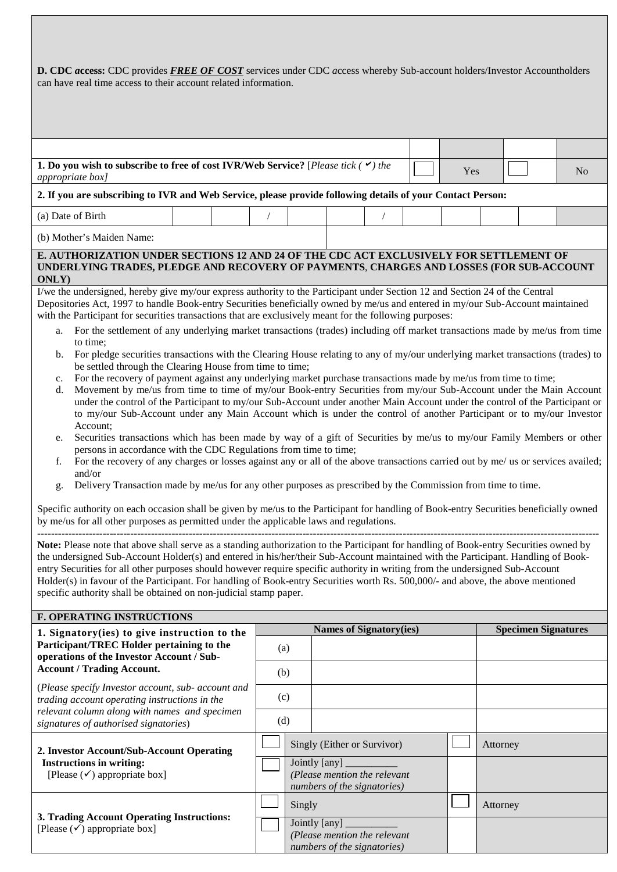| D. CDC access: CDC provides <b>FREE OF COST</b> services under CDC access whereby Sub-account holders/Investor Accountholders<br>can have real time access to their account related information.                                                                                                                                                                                                                                                                                                                                                                                                                                                                                                                                                                                                                                                                                                                                                                                                                                                                                                                                                                                                                                                                                                                                                                                                                                                                                                                                                                                                                                                                                                                                                                                                                                                                                                                                                                                                                                                                                                                                                                                                                                                                                                                                                                                                                                                                                                                                                                                                                                                                                                                                                                                                                    |  |  |            |               |                                                             |  |  |  |          |                            |  |
|---------------------------------------------------------------------------------------------------------------------------------------------------------------------------------------------------------------------------------------------------------------------------------------------------------------------------------------------------------------------------------------------------------------------------------------------------------------------------------------------------------------------------------------------------------------------------------------------------------------------------------------------------------------------------------------------------------------------------------------------------------------------------------------------------------------------------------------------------------------------------------------------------------------------------------------------------------------------------------------------------------------------------------------------------------------------------------------------------------------------------------------------------------------------------------------------------------------------------------------------------------------------------------------------------------------------------------------------------------------------------------------------------------------------------------------------------------------------------------------------------------------------------------------------------------------------------------------------------------------------------------------------------------------------------------------------------------------------------------------------------------------------------------------------------------------------------------------------------------------------------------------------------------------------------------------------------------------------------------------------------------------------------------------------------------------------------------------------------------------------------------------------------------------------------------------------------------------------------------------------------------------------------------------------------------------------------------------------------------------------------------------------------------------------------------------------------------------------------------------------------------------------------------------------------------------------------------------------------------------------------------------------------------------------------------------------------------------------------------------------------------------------------------------------------------------------|--|--|------------|---------------|-------------------------------------------------------------|--|--|--|----------|----------------------------|--|
|                                                                                                                                                                                                                                                                                                                                                                                                                                                                                                                                                                                                                                                                                                                                                                                                                                                                                                                                                                                                                                                                                                                                                                                                                                                                                                                                                                                                                                                                                                                                                                                                                                                                                                                                                                                                                                                                                                                                                                                                                                                                                                                                                                                                                                                                                                                                                                                                                                                                                                                                                                                                                                                                                                                                                                                                                     |  |  |            |               |                                                             |  |  |  |          |                            |  |
| 1. Do you wish to subscribe to free of cost IVR/Web Service? [Please tick $($ $\checkmark$ ) the<br>N <sub>o</sub><br>Yes<br>appropriate box]                                                                                                                                                                                                                                                                                                                                                                                                                                                                                                                                                                                                                                                                                                                                                                                                                                                                                                                                                                                                                                                                                                                                                                                                                                                                                                                                                                                                                                                                                                                                                                                                                                                                                                                                                                                                                                                                                                                                                                                                                                                                                                                                                                                                                                                                                                                                                                                                                                                                                                                                                                                                                                                                       |  |  |            |               |                                                             |  |  |  |          |                            |  |
| 2. If you are subscribing to IVR and Web Service, please provide following details of your Contact Person:                                                                                                                                                                                                                                                                                                                                                                                                                                                                                                                                                                                                                                                                                                                                                                                                                                                                                                                                                                                                                                                                                                                                                                                                                                                                                                                                                                                                                                                                                                                                                                                                                                                                                                                                                                                                                                                                                                                                                                                                                                                                                                                                                                                                                                                                                                                                                                                                                                                                                                                                                                                                                                                                                                          |  |  |            |               |                                                             |  |  |  |          |                            |  |
| (a) Date of Birth                                                                                                                                                                                                                                                                                                                                                                                                                                                                                                                                                                                                                                                                                                                                                                                                                                                                                                                                                                                                                                                                                                                                                                                                                                                                                                                                                                                                                                                                                                                                                                                                                                                                                                                                                                                                                                                                                                                                                                                                                                                                                                                                                                                                                                                                                                                                                                                                                                                                                                                                                                                                                                                                                                                                                                                                   |  |  |            |               |                                                             |  |  |  |          |                            |  |
| (b) Mother's Maiden Name:                                                                                                                                                                                                                                                                                                                                                                                                                                                                                                                                                                                                                                                                                                                                                                                                                                                                                                                                                                                                                                                                                                                                                                                                                                                                                                                                                                                                                                                                                                                                                                                                                                                                                                                                                                                                                                                                                                                                                                                                                                                                                                                                                                                                                                                                                                                                                                                                                                                                                                                                                                                                                                                                                                                                                                                           |  |  |            |               |                                                             |  |  |  |          |                            |  |
|                                                                                                                                                                                                                                                                                                                                                                                                                                                                                                                                                                                                                                                                                                                                                                                                                                                                                                                                                                                                                                                                                                                                                                                                                                                                                                                                                                                                                                                                                                                                                                                                                                                                                                                                                                                                                                                                                                                                                                                                                                                                                                                                                                                                                                                                                                                                                                                                                                                                                                                                                                                                                                                                                                                                                                                                                     |  |  |            |               |                                                             |  |  |  |          |                            |  |
| E. AUTHORIZATION UNDER SECTIONS 12 AND 24 OF THE CDC ACT EXCLUSIVELY FOR SETTLEMENT OF<br>UNDERLYING TRADES, PLEDGE AND RECOVERY OF PAYMENTS, CHARGES AND LOSSES (FOR SUB-ACCOUNT<br>ONLY)<br>I/we the undersigned, hereby give my/our express authority to the Participant under Section 12 and Section 24 of the Central<br>Depositories Act, 1997 to handle Book-entry Securities beneficially owned by me/us and entered in my/our Sub-Account maintained<br>with the Participant for securities transactions that are exclusively meant for the following purposes:<br>For the settlement of any underlying market transactions (trades) including off market transactions made by me/us from time<br>a.<br>to time;<br>For pledge securities transactions with the Clearing House relating to any of my/our underlying market transactions (trades) to<br>$\mathbf{b}$ .<br>be settled through the Clearing House from time to time;<br>For the recovery of payment against any underlying market purchase transactions made by me/us from time to time;<br>c.<br>Movement by me/us from time to time of my/our Book-entry Securities from my/our Sub-Account under the Main Account<br>d.<br>under the control of the Participant to my/our Sub-Account under another Main Account under the control of the Participant or<br>to my/our Sub-Account under any Main Account which is under the control of another Participant or to my/our Investor<br>Account;<br>Securities transactions which has been made by way of a gift of Securities by me/us to my/our Family Members or other<br>e.<br>persons in accordance with the CDC Regulations from time to time;<br>For the recovery of any charges or losses against any or all of the above transactions carried out by me/ us or services availed;<br>f.<br>and/or<br>Delivery Transaction made by me/us for any other purposes as prescribed by the Commission from time to time.<br>g.<br>Specific authority on each occasion shall be given by me/us to the Participant for handling of Book-entry Securities beneficially owned<br>by me/us for all other purposes as permitted under the applicable laws and regulations.<br>Note: Please note that above shall serve as a standing authorization to the Participant for handling of Book-entry Securities owned by<br>the undersigned Sub-Account Holder(s) and entered in his/her/their Sub-Account maintained with the Participant. Handling of Book-<br>entry Securities for all other purposes should however require specific authority in writing from the undersigned Sub-Account<br>Holder(s) in favour of the Participant. For handling of Book-entry Securities worth Rs. 500,000/- and above, the above mentioned<br>specific authority shall be obtained on non-judicial stamp paper. |  |  |            |               |                                                             |  |  |  |          |                            |  |
| <b>F. OPERATING INSTRUCTIONS</b>                                                                                                                                                                                                                                                                                                                                                                                                                                                                                                                                                                                                                                                                                                                                                                                                                                                                                                                                                                                                                                                                                                                                                                                                                                                                                                                                                                                                                                                                                                                                                                                                                                                                                                                                                                                                                                                                                                                                                                                                                                                                                                                                                                                                                                                                                                                                                                                                                                                                                                                                                                                                                                                                                                                                                                                    |  |  |            |               | <b>Names of Signatory(ies)</b>                              |  |  |  |          | <b>Specimen Signatures</b> |  |
| 1. Signatory(ies) to give instruction to the<br>Participant/TREC Holder pertaining to the<br>operations of the Investor Account / Sub-<br><b>Account / Trading Account.</b>                                                                                                                                                                                                                                                                                                                                                                                                                                                                                                                                                                                                                                                                                                                                                                                                                                                                                                                                                                                                                                                                                                                                                                                                                                                                                                                                                                                                                                                                                                                                                                                                                                                                                                                                                                                                                                                                                                                                                                                                                                                                                                                                                                                                                                                                                                                                                                                                                                                                                                                                                                                                                                         |  |  | (a)<br>(b) |               |                                                             |  |  |  |          |                            |  |
| (Please specify Investor account, sub- account and<br>trading account operating instructions in the<br>relevant column along with names and specimen<br>signatures of authorised signatories)                                                                                                                                                                                                                                                                                                                                                                                                                                                                                                                                                                                                                                                                                                                                                                                                                                                                                                                                                                                                                                                                                                                                                                                                                                                                                                                                                                                                                                                                                                                                                                                                                                                                                                                                                                                                                                                                                                                                                                                                                                                                                                                                                                                                                                                                                                                                                                                                                                                                                                                                                                                                                       |  |  | (c)<br>(d) |               |                                                             |  |  |  |          |                            |  |
| 2. Investor Account/Sub-Account Operating<br><b>Instructions in writing:</b><br>[Please $(\checkmark)$ appropriate box]                                                                                                                                                                                                                                                                                                                                                                                                                                                                                                                                                                                                                                                                                                                                                                                                                                                                                                                                                                                                                                                                                                                                                                                                                                                                                                                                                                                                                                                                                                                                                                                                                                                                                                                                                                                                                                                                                                                                                                                                                                                                                                                                                                                                                                                                                                                                                                                                                                                                                                                                                                                                                                                                                             |  |  |            | Jointly [any] | Singly (Either or Survivor)<br>(Please mention the relevant |  |  |  | Attorney |                            |  |

*numbers of the signatories)*

*(Please mention the relevant numbers of the signatories)*

Jointly [any]

Singly **Attorney** 

| 3. Trading Account Operating Instructions: |
|--------------------------------------------|
| [Please $(\checkmark)$ appropriate box]    |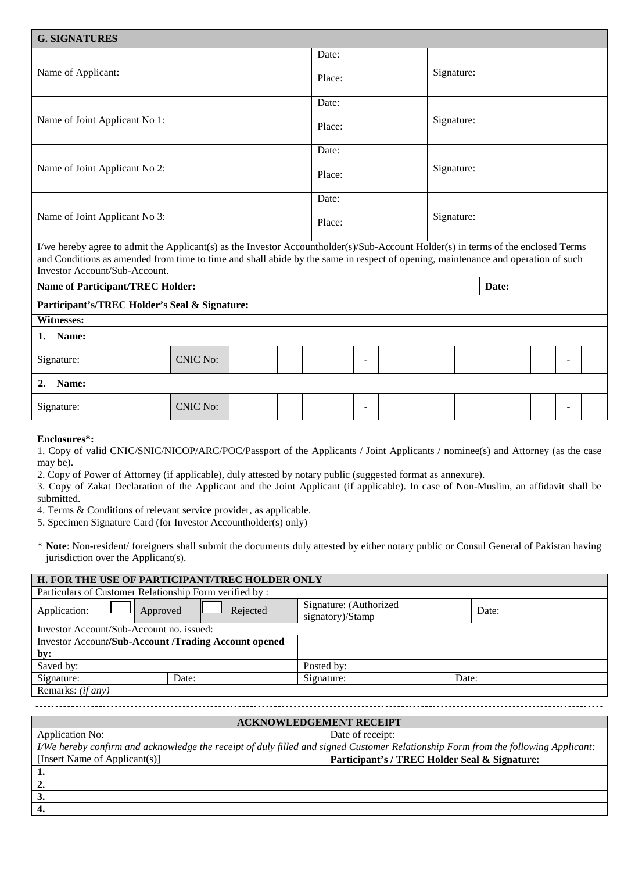| <b>G. SIGNATURES</b>                                                                                                                                                                                                                                                                                   |        |            |
|--------------------------------------------------------------------------------------------------------------------------------------------------------------------------------------------------------------------------------------------------------------------------------------------------------|--------|------------|
|                                                                                                                                                                                                                                                                                                        | Date:  |            |
| Name of Applicant:                                                                                                                                                                                                                                                                                     | Place: | Signature: |
|                                                                                                                                                                                                                                                                                                        | Date:  |            |
| Name of Joint Applicant No 1:                                                                                                                                                                                                                                                                          | Place: | Signature: |
|                                                                                                                                                                                                                                                                                                        | Date:  |            |
| Name of Joint Applicant No 2:                                                                                                                                                                                                                                                                          | Place: | Signature: |
|                                                                                                                                                                                                                                                                                                        | Date:  |            |
| Name of Joint Applicant No 3:                                                                                                                                                                                                                                                                          | Place: | Signature: |
| I/we hereby agree to admit the Applicant(s) as the Investor Accountholder(s)/Sub-Account Holder(s) in terms of the enclosed Terms<br>and Conditions as amended from time to time and shall abide by the same in respect of opening, maintenance and operation of such<br>Investor Account/Sub-Account. |        |            |
|                                                                                                                                                                                                                                                                                                        |        |            |

| <b>Name of Participant/TREC Holder:</b><br>Date: |  |  |  |  |  |   |  |  |  |  |  |   |  |
|--------------------------------------------------|--|--|--|--|--|---|--|--|--|--|--|---|--|
| Participant's/TREC Holder's Seal & Signature:    |  |  |  |  |  |   |  |  |  |  |  |   |  |
|                                                  |  |  |  |  |  |   |  |  |  |  |  |   |  |
|                                                  |  |  |  |  |  |   |  |  |  |  |  |   |  |
| <b>CNIC No:</b>                                  |  |  |  |  |  | - |  |  |  |  |  | - |  |
| Name:<br>2.                                      |  |  |  |  |  |   |  |  |  |  |  |   |  |
| <b>CNIC No:</b>                                  |  |  |  |  |  | - |  |  |  |  |  | - |  |
|                                                  |  |  |  |  |  |   |  |  |  |  |  |   |  |

#### **Enclosures\*:**

1. Copy of valid CNIC/SNIC/NICOP/ARC/POC/Passport of the Applicants / Joint Applicants / nominee(s) and Attorney (as the case may be).

2. Copy of Power of Attorney (if applicable), duly attested by notary public (suggested format as annexure).

3. Copy of Zakat Declaration of the Applicant and the Joint Applicant (if applicable). In case of Non-Muslim, an affidavit shall be submitted.

4. Terms & Conditions of relevant service provider, as applicable.

5. Specimen Signature Card (for Investor Accountholder(s) only)

\* **Note**: Non-resident/ foreigners shall submit the documents duly attested by either notary public or Consul General of Pakistan having jurisdiction over the Applicant(s).

| H. FOR THE USE OF PARTICIPANT/TREC HOLDER ONLY         |            |                                            |       |  |  |  |  |  |  |
|--------------------------------------------------------|------------|--------------------------------------------|-------|--|--|--|--|--|--|
| Particulars of Customer Relationship Form verified by: |            |                                            |       |  |  |  |  |  |  |
| Application:<br>Approved                               | Rejected   | Signature: (Authorized<br>signatory)/Stamp | Date: |  |  |  |  |  |  |
| Investor Account/Sub-Account no. issued:               |            |                                            |       |  |  |  |  |  |  |
| Investor Account/Sub-Account /Trading Account opened   |            |                                            |       |  |  |  |  |  |  |
| by:                                                    |            |                                            |       |  |  |  |  |  |  |
| Saved by:                                              | Posted by: |                                            |       |  |  |  |  |  |  |
| Signature:                                             | Date:      | Signature:                                 | Date: |  |  |  |  |  |  |
| Remarks: (if any)                                      |            |                                            |       |  |  |  |  |  |  |

| <b>ACKNOWLEDGEMENT RECEIPT</b>                                                                                                     |                                               |  |  |  |  |  |  |
|------------------------------------------------------------------------------------------------------------------------------------|-----------------------------------------------|--|--|--|--|--|--|
| Application No:                                                                                                                    | Date of receipt:                              |  |  |  |  |  |  |
| I/We hereby confirm and acknowledge the receipt of duly filled and signed Customer Relationship Form from the following Applicant: |                                               |  |  |  |  |  |  |
| [Insert Name of Applicant(s)]                                                                                                      | Participant's / TREC Holder Seal & Signature: |  |  |  |  |  |  |
|                                                                                                                                    |                                               |  |  |  |  |  |  |
|                                                                                                                                    |                                               |  |  |  |  |  |  |
| 3.                                                                                                                                 |                                               |  |  |  |  |  |  |
| 4.                                                                                                                                 |                                               |  |  |  |  |  |  |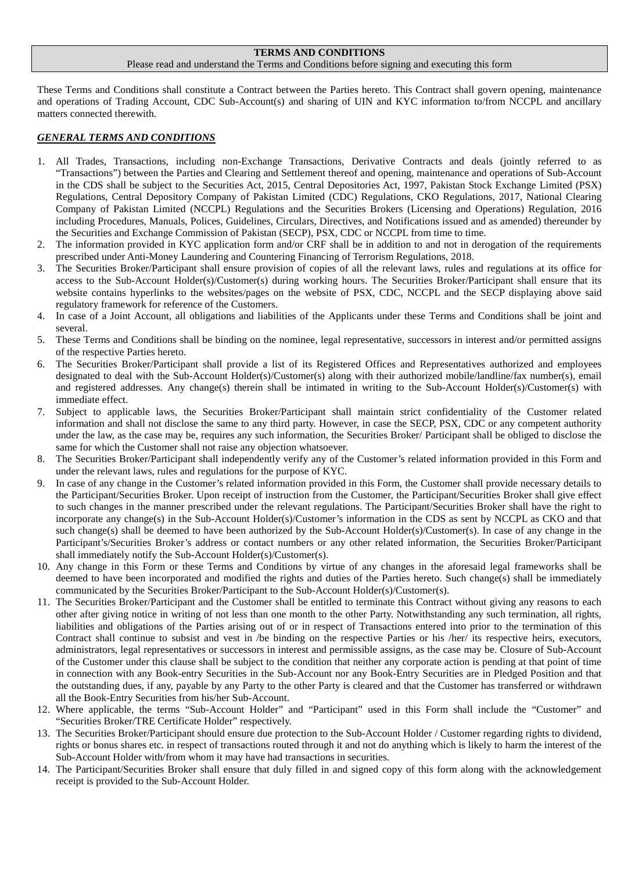#### **TERMS AND CONDITIONS**

#### Please read and understand the Terms and Conditions before signing and executing this form

These Terms and Conditions shall constitute a Contract between the Parties hereto. This Contract shall govern opening, maintenance and operations of Trading Account, CDC Sub-Account(s) and sharing of UIN and KYC information to/from NCCPL and ancillary matters connected therewith.

### *GENERAL TERMS AND CONDITIONS*

- 1. All Trades, Transactions, including non-Exchange Transactions, Derivative Contracts and deals (jointly referred to as "Transactions") between the Parties and Clearing and Settlement thereof and opening, maintenance and operations of Sub-Account in the CDS shall be subject to the Securities Act, 2015, Central Depositories Act, 1997, Pakistan Stock Exchange Limited (PSX) Regulations, Central Depository Company of Pakistan Limited (CDC) Regulations, CKO Regulations, 2017, National Clearing Company of Pakistan Limited (NCCPL) Regulations and the Securities Brokers (Licensing and Operations) Regulation, 2016 including Procedures, Manuals, Polices, Guidelines, Circulars, Directives, and Notifications issued and as amended) thereunder by the Securities and Exchange Commission of Pakistan (SECP), PSX, CDC or NCCPL from time to time.
- 2. The information provided in KYC application form and/or CRF shall be in addition to and not in derogation of the requirements prescribed under Anti-Money Laundering and Countering Financing of Terrorism Regulations, 2018.
- 3. The Securities Broker/Participant shall ensure provision of copies of all the relevant laws, rules and regulations at its office for access to the Sub-Account Holder(s)/Customer(s) during working hours. The Securities Broker/Participant shall ensure that its website contains hyperlinks to the websites/pages on the website of PSX, CDC, NCCPL and the SECP displaying above said regulatory framework for reference of the Customers.
- 4. In case of a Joint Account, all obligations and liabilities of the Applicants under these Terms and Conditions shall be joint and several.
- 5. These Terms and Conditions shall be binding on the nominee, legal representative, successors in interest and/or permitted assigns of the respective Parties hereto.
- 6. The Securities Broker/Participant shall provide a list of its Registered Offices and Representatives authorized and employees designated to deal with the Sub-Account Holder(s)/Customer(s) along with their authorized mobile/landline/fax number(s), email and registered addresses. Any change(s) therein shall be intimated in writing to the Sub-Account Holder(s)/Customer(s) with immediate effect.
- 7. Subject to applicable laws, the Securities Broker/Participant shall maintain strict confidentiality of the Customer related information and shall not disclose the same to any third party. However, in case the SECP, PSX, CDC or any competent authority under the law, as the case may be, requires any such information, the Securities Broker/ Participant shall be obliged to disclose the same for which the Customer shall not raise any objection whatsoever.
- 8. The Securities Broker/Participant shall independently verify any of the Customer's related information provided in this Form and under the relevant laws, rules and regulations for the purpose of KYC.
- 9. In case of any change in the Customer's related information provided in this Form, the Customer shall provide necessary details to the Participant/Securities Broker. Upon receipt of instruction from the Customer, the Participant/Securities Broker shall give effect to such changes in the manner prescribed under the relevant regulations. The Participant/Securities Broker shall have the right to incorporate any change(s) in the Sub-Account Holder(s)/Customer's information in the CDS as sent by NCCPL as CKO and that such change(s) shall be deemed to have been authorized by the Sub-Account Holder(s)/Customer(s). In case of any change in the Participant's/Securities Broker's address or contact numbers or any other related information, the Securities Broker/Participant shall immediately notify the Sub-Account Holder(s)/Customer(s).
- 10. Any change in this Form or these Terms and Conditions by virtue of any changes in the aforesaid legal frameworks shall be deemed to have been incorporated and modified the rights and duties of the Parties hereto. Such change(s) shall be immediately communicated by the Securities Broker/Participant to the Sub-Account Holder(s)/Customer(s).
- 11. The Securities Broker/Participant and the Customer shall be entitled to terminate this Contract without giving any reasons to each other after giving notice in writing of not less than one month to the other Party. Notwithstanding any such termination, all rights, liabilities and obligations of the Parties arising out of or in respect of Transactions entered into prior to the termination of this Contract shall continue to subsist and vest in /be binding on the respective Parties or his /her/ its respective heirs, executors, administrators, legal representatives or successors in interest and permissible assigns, as the case may be. Closure of Sub-Account of the Customer under this clause shall be subject to the condition that neither any corporate action is pending at that point of time in connection with any Book-entry Securities in the Sub-Account nor any Book-Entry Securities are in Pledged Position and that the outstanding dues, if any, payable by any Party to the other Party is cleared and that the Customer has transferred or withdrawn all the Book-Entry Securities from his/her Sub-Account.
- 12. Where applicable, the terms "Sub-Account Holder" and "Participant" used in this Form shall include the "Customer" and "Securities Broker/TRE Certificate Holder" respectively.
- 13. The Securities Broker/Participant should ensure due protection to the Sub-Account Holder / Customer regarding rights to dividend, rights or bonus shares etc. in respect of transactions routed through it and not do anything which is likely to harm the interest of the Sub-Account Holder with/from whom it may have had transactions in securities.
- 14. The Participant/Securities Broker shall ensure that duly filled in and signed copy of this form along with the acknowledgement receipt is provided to the Sub-Account Holder.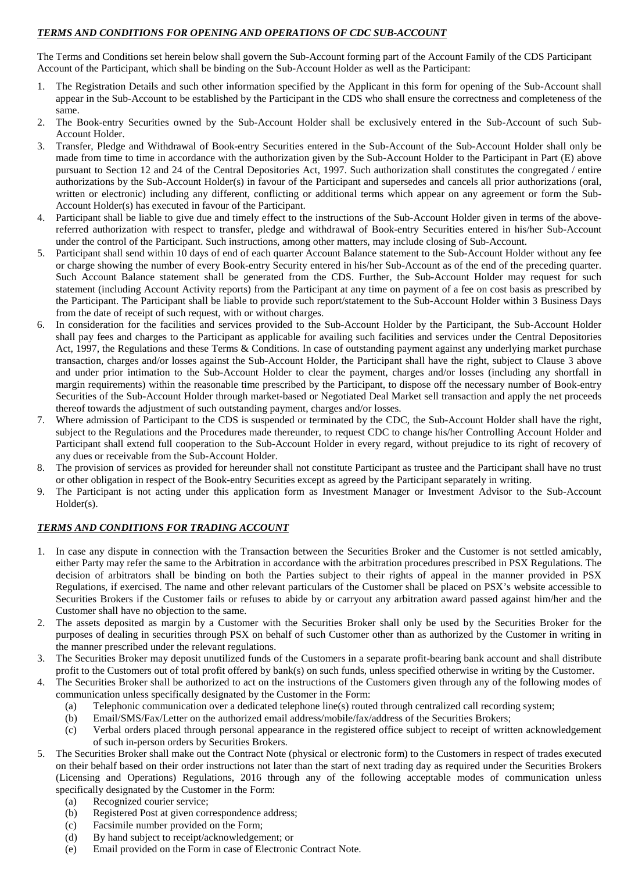## *TERMS AND CONDITIONS FOR OPENING AND OPERATIONS OF CDC SUB-ACCOUNT*

The Terms and Conditions set herein below shall govern the Sub-Account forming part of the Account Family of the CDS Participant Account of the Participant, which shall be binding on the Sub-Account Holder as well as the Participant:

- 1. The Registration Details and such other information specified by the Applicant in this form for opening of the Sub-Account shall appear in the Sub-Account to be established by the Participant in the CDS who shall ensure the correctness and completeness of the same.
- 2. The Book-entry Securities owned by the Sub-Account Holder shall be exclusively entered in the Sub-Account of such Sub-Account Holder.
- 3. Transfer, Pledge and Withdrawal of Book-entry Securities entered in the Sub-Account of the Sub-Account Holder shall only be made from time to time in accordance with the authorization given by the Sub-Account Holder to the Participant in Part (E) above pursuant to Section 12 and 24 of the Central Depositories Act, 1997. Such authorization shall constitutes the congregated / entire authorizations by the Sub-Account Holder(s) in favour of the Participant and supersedes and cancels all prior authorizations (oral, written or electronic) including any different, conflicting or additional terms which appear on any agreement or form the Sub-Account Holder(s) has executed in favour of the Participant.
- 4. Participant shall be liable to give due and timely effect to the instructions of the Sub-Account Holder given in terms of the abovereferred authorization with respect to transfer, pledge and withdrawal of Book-entry Securities entered in his/her Sub-Account under the control of the Participant. Such instructions, among other matters, may include closing of Sub-Account.
- 5. Participant shall send within 10 days of end of each quarter Account Balance statement to the Sub-Account Holder without any fee or charge showing the number of every Book-entry Security entered in his/her Sub-Account as of the end of the preceding quarter. Such Account Balance statement shall be generated from the CDS. Further, the Sub-Account Holder may request for such statement (including Account Activity reports) from the Participant at any time on payment of a fee on cost basis as prescribed by the Participant. The Participant shall be liable to provide such report/statement to the Sub-Account Holder within 3 Business Days from the date of receipt of such request, with or without charges.
- 6. In consideration for the facilities and services provided to the Sub-Account Holder by the Participant, the Sub-Account Holder shall pay fees and charges to the Participant as applicable for availing such facilities and services under the Central Depositories Act, 1997, the Regulations and these Terms & Conditions. In case of outstanding payment against any underlying market purchase transaction, charges and/or losses against the Sub-Account Holder, the Participant shall have the right, subject to Clause 3 above and under prior intimation to the Sub-Account Holder to clear the payment, charges and/or losses (including any shortfall in margin requirements) within the reasonable time prescribed by the Participant, to dispose off the necessary number of Book-entry Securities of the Sub-Account Holder through market-based or Negotiated Deal Market sell transaction and apply the net proceeds thereof towards the adjustment of such outstanding payment, charges and/or losses.
- 7. Where admission of Participant to the CDS is suspended or terminated by the CDC, the Sub-Account Holder shall have the right, subject to the Regulations and the Procedures made thereunder, to request CDC to change his/her Controlling Account Holder and Participant shall extend full cooperation to the Sub-Account Holder in every regard, without prejudice to its right of recovery of any dues or receivable from the Sub-Account Holder.
- 8. The provision of services as provided for hereunder shall not constitute Participant as trustee and the Participant shall have no trust or other obligation in respect of the Book-entry Securities except as agreed by the Participant separately in writing.
- 9. The Participant is not acting under this application form as Investment Manager or Investment Advisor to the Sub-Account Holder(s).

## *TERMS AND CONDITIONS FOR TRADING ACCOUNT*

- 1. In case any dispute in connection with the Transaction between the Securities Broker and the Customer is not settled amicably, either Party may refer the same to the Arbitration in accordance with the arbitration procedures prescribed in PSX Regulations. The decision of arbitrators shall be binding on both the Parties subject to their rights of appeal in the manner provided in PSX Regulations, if exercised. The name and other relevant particulars of the Customer shall be placed on PSX's website accessible to Securities Brokers if the Customer fails or refuses to abide by or carryout any arbitration award passed against him/her and the Customer shall have no objection to the same.
- 2. The assets deposited as margin by a Customer with the Securities Broker shall only be used by the Securities Broker for the purposes of dealing in securities through PSX on behalf of such Customer other than as authorized by the Customer in writing in the manner prescribed under the relevant regulations.
- 3. The Securities Broker may deposit unutilized funds of the Customers in a separate profit-bearing bank account and shall distribute profit to the Customers out of total profit offered by bank(s) on such funds, unless specified otherwise in writing by the Customer.
- The Securities Broker shall be authorized to act on the instructions of the Customers given through any of the following modes of communication unless specifically designated by the Customer in the Form:
	- (a) Telephonic communication over a dedicated telephone line(s) routed through centralized call recording system;
	- (b) Email/SMS/Fax/Letter on the authorized email address/mobile/fax/address of the Securities Brokers;
	- (c) Verbal orders placed through personal appearance in the registered office subject to receipt of written acknowledgement of such in-person orders by Securities Brokers.
- 5. The Securities Broker shall make out the Contract Note (physical or electronic form) to the Customers in respect of trades executed on their behalf based on their order instructions not later than the start of next trading day as required under the Securities Brokers (Licensing and Operations) Regulations, 2016 through any of the following acceptable modes of communication unless specifically designated by the Customer in the Form:
	- (a) Recognized courier service;
	- (b) Registered Post at given correspondence address;
	- (c) Facsimile number provided on the Form;
	- (d) By hand subject to receipt/acknowledgement; or
	- (e) Email provided on the Form in case of Electronic Contract Note.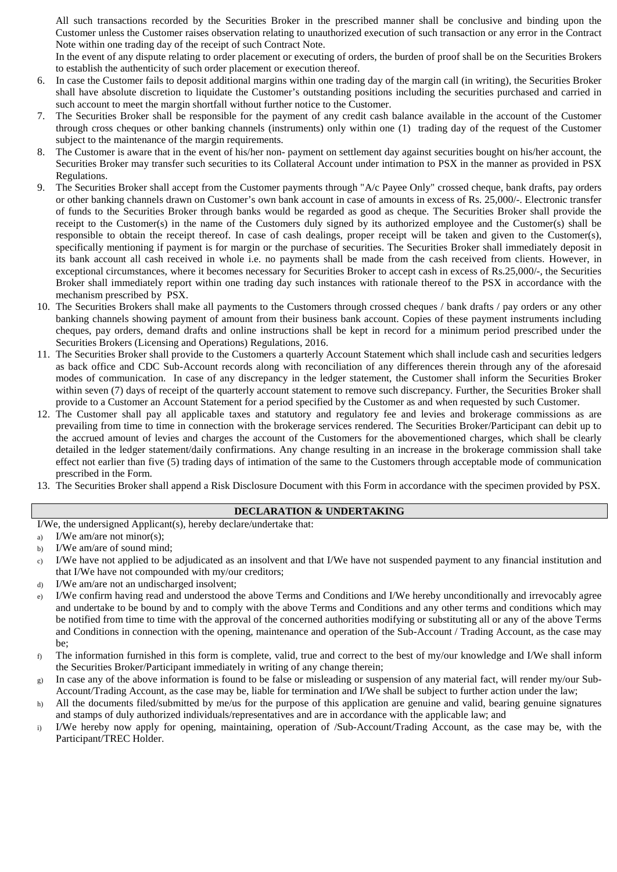All such transactions recorded by the Securities Broker in the prescribed manner shall be conclusive and binding upon the Customer unless the Customer raises observation relating to unauthorized execution of such transaction or any error in the Contract Note within one trading day of the receipt of such Contract Note.

In the event of any dispute relating to order placement or executing of orders, the burden of proof shall be on the Securities Brokers to establish the authenticity of such order placement or execution thereof.

- 6. In case the Customer fails to deposit additional margins within one trading day of the margin call (in writing), the Securities Broker shall have absolute discretion to liquidate the Customer's outstanding positions including the securities purchased and carried in such account to meet the margin shortfall without further notice to the Customer.
- 7. The Securities Broker shall be responsible for the payment of any credit cash balance available in the account of the Customer through cross cheques or other banking channels (instruments) only within one (1) trading day of the request of the Customer subject to the maintenance of the margin requirements.
- 8. The Customer is aware that in the event of his/her non- payment on settlement day against securities bought on his/her account, the Securities Broker may transfer such securities to its Collateral Account under intimation to PSX in the manner as provided in PSX Regulations.
- 9. The Securities Broker shall accept from the Customer payments through "A/c Payee Only" crossed cheque, bank drafts, pay orders or other banking channels drawn on Customer's own bank account in case of amounts in excess of Rs. 25,000/-. Electronic transfer of funds to the Securities Broker through banks would be regarded as good as cheque. The Securities Broker shall provide the receipt to the Customer(s) in the name of the Customers duly signed by its authorized employee and the Customer(s) shall be responsible to obtain the receipt thereof. In case of cash dealings, proper receipt will be taken and given to the Customer(s), specifically mentioning if payment is for margin or the purchase of securities. The Securities Broker shall immediately deposit in its bank account all cash received in whole i.e. no payments shall be made from the cash received from clients. However, in exceptional circumstances, where it becomes necessary for Securities Broker to accept cash in excess of Rs.25,000/-, the Securities Broker shall immediately report within one trading day such instances with rationale thereof to the PSX in accordance with the mechanism prescribed by PSX.
- 10. The Securities Brokers shall make all payments to the Customers through crossed cheques / bank drafts / pay orders or any other banking channels showing payment of amount from their business bank account. Copies of these payment instruments including cheques, pay orders, demand drafts and online instructions shall be kept in record for a minimum period prescribed under the Securities Brokers (Licensing and Operations) Regulations, 2016.
- 11. The Securities Broker shall provide to the Customers a quarterly Account Statement which shall include cash and securities ledgers as back office and CDC Sub-Account records along with reconciliation of any differences therein through any of the aforesaid modes of communication. In case of any discrepancy in the ledger statement, the Customer shall inform the Securities Broker within seven (7) days of receipt of the quarterly account statement to remove such discrepancy. Further, the Securities Broker shall provide to a Customer an Account Statement for a period specified by the Customer as and when requested by such Customer.
- 12. The Customer shall pay all applicable taxes and statutory and regulatory fee and levies and brokerage commissions as are prevailing from time to time in connection with the brokerage services rendered. The Securities Broker/Participant can debit up to the accrued amount of levies and charges the account of the Customers for the abovementioned charges, which shall be clearly detailed in the ledger statement/daily confirmations. Any change resulting in an increase in the brokerage commission shall take effect not earlier than five (5) trading days of intimation of the same to the Customers through acceptable mode of communication prescribed in the Form.
- 13. The Securities Broker shall append a Risk Disclosure Document with this Form in accordance with the specimen provided by PSX.

### **DECLARATION & UNDERTAKING**

I/We, the undersigned Applicant(s), hereby declare/undertake that:

a) I/We am/are not minor(s);

- b) I/We am/are of sound mind;
- c) I/We have not applied to be adjudicated as an insolvent and that I/We have not suspended payment to any financial institution and that I/We have not compounded with my/our creditors;
- d) I/We am/are not an undischarged insolvent;
- e) I/We confirm having read and understood the above Terms and Conditions and I/We hereby unconditionally and irrevocably agree and undertake to be bound by and to comply with the above Terms and Conditions and any other terms and conditions which may be notified from time to time with the approval of the concerned authorities modifying or substituting all or any of the above Terms and Conditions in connection with the opening, maintenance and operation of the Sub-Account / Trading Account, as the case may be;
- $f$  The information furnished in this form is complete, valid, true and correct to the best of my/our knowledge and I/We shall inform the Securities Broker/Participant immediately in writing of any change therein;
- g) In case any of the above information is found to be false or misleading or suspension of any material fact, will render my/our Sub-Account/Trading Account, as the case may be, liable for termination and I/We shall be subject to further action under the law;
- h) All the documents filed/submitted by me/us for the purpose of this application are genuine and valid, bearing genuine signatures and stamps of duly authorized individuals/representatives and are in accordance with the applicable law; and
- i) I/We hereby now apply for opening, maintaining, operation of /Sub-Account/Trading Account, as the case may be, with the Participant/TREC Holder.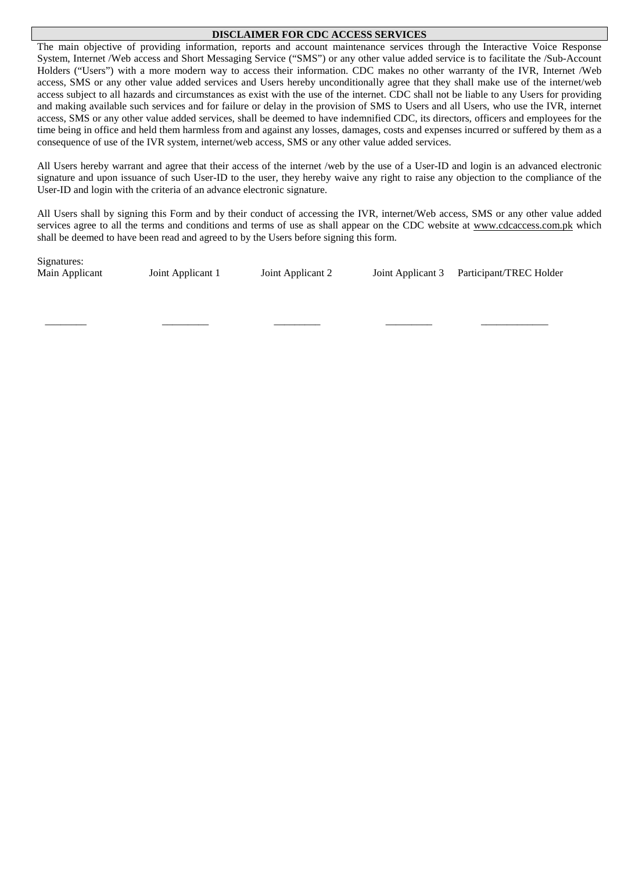### **DISCLAIMER FOR CDC ACCESS SERVICES**

The main objective of providing information, reports and account maintenance services through the Interactive Voice Response System, Internet /Web access and Short Messaging Service ("SMS") or any other value added service is to facilitate the /Sub-Account Holders ("Users") with a more modern way to access their information. CDC makes no other warranty of the IVR, Internet /Web access, SMS or any other value added services and Users hereby unconditionally agree that they shall make use of the internet/web access subject to all hazards and circumstances as exist with the use of the internet. CDC shall not be liable to any Users for providing and making available such services and for failure or delay in the provision of SMS to Users and all Users, who use the IVR, internet access, SMS or any other value added services, shall be deemed to have indemnified CDC, its directors, officers and employees for the time being in office and held them harmless from and against any losses, damages, costs and expenses incurred or suffered by them as a consequence of use of the IVR system, internet/web access, SMS or any other value added services.

All Users hereby warrant and agree that their access of the internet /web by the use of a User-ID and login is an advanced electronic signature and upon issuance of such User-ID to the user, they hereby waive any right to raise any objection to the compliance of the User-ID and login with the criteria of an advance electronic signature.

All Users shall by signing this Form and by their conduct of accessing the IVR, internet/Web access, SMS or any other value added services agree to all the terms and conditions and terms of use as shall appear on the CDC website at [www.cdcaccess.com.pk](http://www.cdcaccess.com.pk/) which shall be deemed to have been read and agreed to by the Users before signing this form.

Signatures:

 $\frac{1}{2}$  ,  $\frac{1}{2}$  ,  $\frac{1}{2}$  ,  $\frac{1}{2}$  ,  $\frac{1}{2}$  ,  $\frac{1}{2}$  ,  $\frac{1}{2}$  ,  $\frac{1}{2}$  ,  $\frac{1}{2}$  ,  $\frac{1}{2}$  ,  $\frac{1}{2}$  ,  $\frac{1}{2}$  ,  $\frac{1}{2}$  ,  $\frac{1}{2}$  ,  $\frac{1}{2}$  ,  $\frac{1}{2}$  ,  $\frac{1}{2}$  ,  $\frac{1}{2}$  ,  $\frac{1$ 

Main Applicant 1 Joint Applicant 2 Joint Applicant 3 Participant/TREC Holder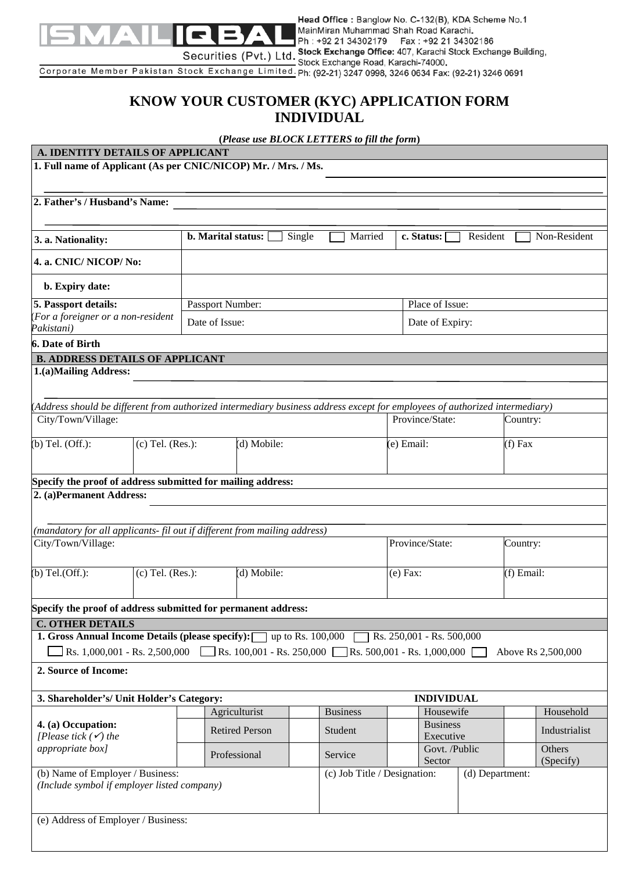

Head Office : Banglow No. C-132(B), KDA Scheme No.1 MainMiran Muhammad Shah Road Karachi. Ph: +92 21 34302179 Fax: +92 21 34302186 Stock Exchange Office: 407, Karachi Stock Exchange Building,

Corporate Member Pakistan Stock Exchange Limited. Ph: (92-21) 3247 0998, 3246 0634 Fax: (92-21) 3246 0691

# **KNOW YOUR CUSTOMER (KYC) APPLICATION FORM INDIVIDUAL**

**(***Please use BLOCK LETTERS to fill the form***)**

## **A. IDENTITY DETAILS OF APPLICANT**

**1. Full name of Applicant (As per CNIC/NICOP) Mr. / Mrs. / Ms.**

**2. Father's / Husband's Name:**

| 3. a. Nationality:                                                                                                                                           |                       | <b>b.</b> Marital status:                                                                                                   | Single<br>Married            | c. Status:                  | Resident        | Non-Resident       |  |  |  |  |
|--------------------------------------------------------------------------------------------------------------------------------------------------------------|-----------------------|-----------------------------------------------------------------------------------------------------------------------------|------------------------------|-----------------------------|-----------------|--------------------|--|--|--|--|
| 4. a. CNIC/NICOP/No:                                                                                                                                         |                       |                                                                                                                             |                              |                             |                 |                    |  |  |  |  |
| b. Expiry date:                                                                                                                                              |                       |                                                                                                                             |                              |                             |                 |                    |  |  |  |  |
| 5. Passport details:                                                                                                                                         |                       | Passport Number:                                                                                                            |                              | Place of Issue:             |                 |                    |  |  |  |  |
| (For a foreigner or a non-resident<br>Pakistani)                                                                                                             |                       | Date of Issue:                                                                                                              |                              | Date of Expiry:             |                 |                    |  |  |  |  |
| <b>6. Date of Birth</b>                                                                                                                                      |                       |                                                                                                                             |                              |                             |                 |                    |  |  |  |  |
| <b>B. ADDRESS DETAILS OF APPLICANT</b>                                                                                                                       |                       |                                                                                                                             |                              |                             |                 |                    |  |  |  |  |
| 1.(a)Mailing Address:                                                                                                                                        |                       |                                                                                                                             |                              |                             |                 |                    |  |  |  |  |
|                                                                                                                                                              |                       |                                                                                                                             |                              |                             |                 |                    |  |  |  |  |
|                                                                                                                                                              |                       | (Address should be different from authorized intermediary business address except for employees of authorized intermediary) |                              |                             |                 |                    |  |  |  |  |
| City/Town/Village:                                                                                                                                           |                       |                                                                                                                             |                              | Province/State:             |                 | Country:           |  |  |  |  |
| $(b)$ Tel. $(Off.)$ :                                                                                                                                        | $(c)$ Tel. $(Res.)$ : | (d) Mobile:                                                                                                                 |                              | (e) Email:                  |                 | $(f)$ Fax          |  |  |  |  |
|                                                                                                                                                              |                       |                                                                                                                             |                              |                             |                 |                    |  |  |  |  |
|                                                                                                                                                              |                       |                                                                                                                             |                              |                             |                 |                    |  |  |  |  |
| 2. (a)Permanent Address:                                                                                                                                     |                       | Specify the proof of address submitted for mailing address:                                                                 |                              |                             |                 |                    |  |  |  |  |
|                                                                                                                                                              |                       |                                                                                                                             |                              |                             |                 |                    |  |  |  |  |
|                                                                                                                                                              |                       | (mandatory for all applicants-fil out if different from mailing address)                                                    |                              |                             |                 |                    |  |  |  |  |
| City/Town/Village:                                                                                                                                           |                       |                                                                                                                             |                              | Province/State:             |                 | Country:           |  |  |  |  |
|                                                                                                                                                              |                       |                                                                                                                             |                              |                             |                 |                    |  |  |  |  |
| $(b)$ Tel. $(Off.)$ :                                                                                                                                        | $(c)$ Tel. $(Res.)$ : | (d) Mobile:                                                                                                                 |                              | $(e)$ Fax:                  |                 | (f) Email:         |  |  |  |  |
|                                                                                                                                                              |                       |                                                                                                                             |                              |                             |                 |                    |  |  |  |  |
|                                                                                                                                                              |                       | Specify the proof of address submitted for permanent address:                                                               |                              |                             |                 |                    |  |  |  |  |
| <b>C. OTHER DETAILS</b>                                                                                                                                      |                       |                                                                                                                             |                              |                             |                 |                    |  |  |  |  |
|                                                                                                                                                              |                       | <b>1. Gross Annual Income Details (please specify):</b> up to Rs. 100,000                                                   |                              | Rs. 250,001 - Rs. 500,000   |                 |                    |  |  |  |  |
| Rs. 1,000,001 - Rs. 2,500,000                                                                                                                                |                       | Rs. 100,001 - Rs. 250,000                                                                                                   |                              | Rs. 500,001 - Rs. 1,000,000 |                 | Above Rs 2,500,000 |  |  |  |  |
| 2. Source of Income:                                                                                                                                         |                       |                                                                                                                             |                              |                             |                 |                    |  |  |  |  |
| 3. Shareholder's/ Unit Holder's Category:                                                                                                                    |                       |                                                                                                                             |                              | <b>INDIVIDUAL</b>           |                 |                    |  |  |  |  |
|                                                                                                                                                              |                       | Agriculturist                                                                                                               | <b>Business</b>              | Housewife                   |                 | Household          |  |  |  |  |
|                                                                                                                                                              |                       | <b>Retired Person</b>                                                                                                       | Student                      | <b>Business</b>             |                 | Industrialist      |  |  |  |  |
|                                                                                                                                                              |                       |                                                                                                                             |                              | Executive                   |                 |                    |  |  |  |  |
|                                                                                                                                                              |                       |                                                                                                                             | Service                      | Govt. /Public               |                 | Others             |  |  |  |  |
|                                                                                                                                                              |                       | Professional                                                                                                                |                              |                             |                 |                    |  |  |  |  |
|                                                                                                                                                              |                       |                                                                                                                             | (c) Job Title / Designation: | Sector                      | (d) Department: | (Specify)          |  |  |  |  |
| 4. (a) Occupation:<br>[Please tick $(\checkmark)$ the<br>appropriate box]<br>(b) Name of Employer / Business:<br>(Include symbol if employer listed company) |                       |                                                                                                                             |                              |                             |                 |                    |  |  |  |  |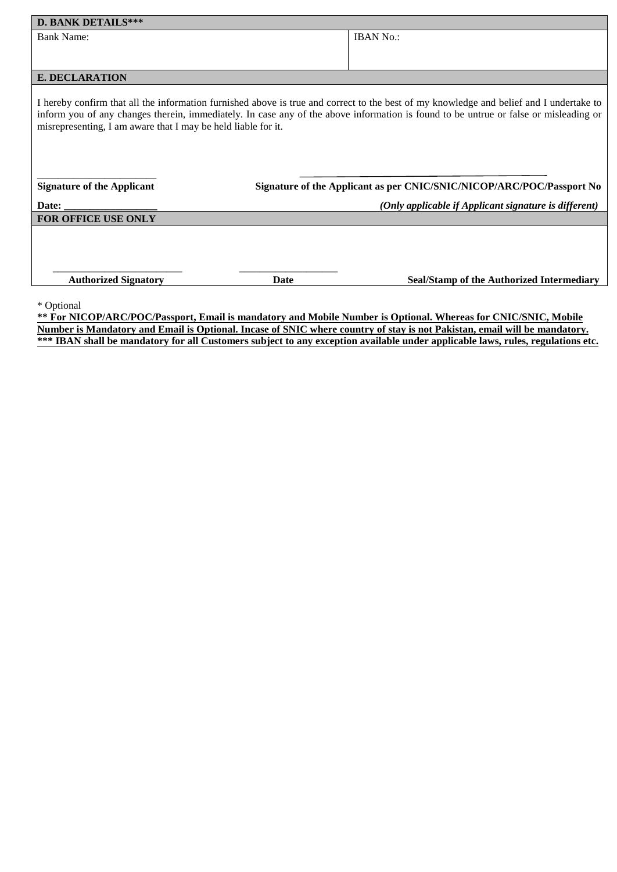| <b>D. BANK DETAILS***</b>                                                                                                                                                                                                                                                                                                                        |                                                                       |
|--------------------------------------------------------------------------------------------------------------------------------------------------------------------------------------------------------------------------------------------------------------------------------------------------------------------------------------------------|-----------------------------------------------------------------------|
| <b>Bank Name:</b>                                                                                                                                                                                                                                                                                                                                | <b>IBAN No.:</b>                                                      |
|                                                                                                                                                                                                                                                                                                                                                  |                                                                       |
|                                                                                                                                                                                                                                                                                                                                                  |                                                                       |
| <b>E. DECLARATION</b>                                                                                                                                                                                                                                                                                                                            |                                                                       |
| I hereby confirm that all the information furnished above is true and correct to the best of my knowledge and belief and I undertake to<br>inform you of any changes therein, immediately. In case any of the above information is found to be untrue or false or misleading or<br>misrepresenting, I am aware that I may be held liable for it. |                                                                       |
| <b>Signature of the Applicant</b>                                                                                                                                                                                                                                                                                                                | Signature of the Applicant as per CNIC/SNIC/NICOP/ARC/POC/Passport No |
| Date:                                                                                                                                                                                                                                                                                                                                            | (Only applicable if Applicant signature is different)                 |
| <b>FOR OFFICE USE ONLY</b>                                                                                                                                                                                                                                                                                                                       |                                                                       |
| <b>Authorized Signatory</b><br><b>Date</b>                                                                                                                                                                                                                                                                                                       | <b>Seal/Stamp of the Authorized Intermediary</b>                      |
| * Optional                                                                                                                                                                                                                                                                                                                                       |                                                                       |

**\*\* For NICOP/ARC/POC/Passport, Email is mandatory and Mobile Number is Optional. Whereas for CNIC/SNIC, Mobile Number is Mandatory and Email is Optional. Incase of SNIC where country of stay is not Pakistan, email will be mandatory. \*\*\* IBAN shall be mandatory for all Customers subject to any exception available under applicable laws, rules, regulations etc.**